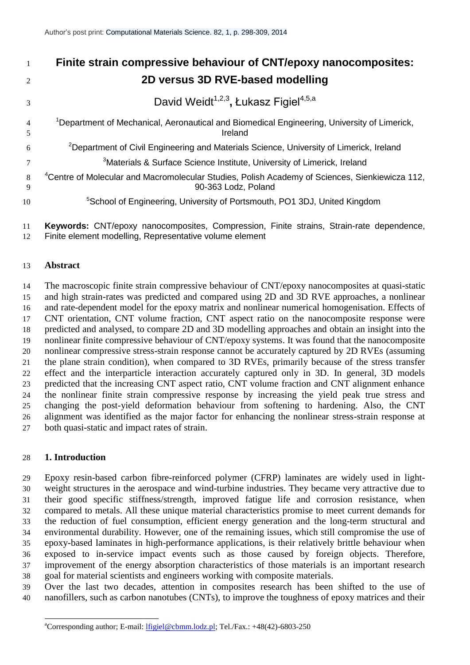| $\overline{1}$      | Finite strain compressive behaviour of CNT/epoxy nanocomposites:                                                                  |
|---------------------|-----------------------------------------------------------------------------------------------------------------------------------|
| 2                   | 2D versus 3D RVE-based modelling                                                                                                  |
| $\mathcal{E}$       | David Weidt <sup>1,2,3</sup> , Łukasz Figiel <sup>4,5,a</sup>                                                                     |
| $\overline{4}$<br>5 | <sup>1</sup> Department of Mechanical, Aeronautical and Biomedical Engineering, University of Limerick,<br>Ireland                |
| 6                   | <sup>2</sup> Department of Civil Engineering and Materials Science, University of Limerick, Ireland                               |
| 7                   | <sup>3</sup> Materials & Surface Science Institute, University of Limerick, Ireland                                               |
| 8<br>9              | <sup>4</sup> Centre of Molecular and Macromolecular Studies, Polish Academy of Sciences, Sienkiewicza 112,<br>90-363 Lodz, Poland |
| 10                  | <sup>5</sup> School of Engineering, University of Portsmouth, PO1 3DJ, United Kingdom                                             |
|                     |                                                                                                                                   |

 **Keywords:** CNT/epoxy nanocomposites, Compression, Finite strains, Strain-rate dependence, Finite element modelling, Representative volume element

## **Abstract**

 The macroscopic finite strain compressive behaviour of CNT/epoxy nanocomposites at quasi-static and high strain-rates was predicted and compared using 2D and 3D RVE approaches, a nonlinear and rate-dependent model for the epoxy matrix and nonlinear numerical homogenisation. Effects of CNT orientation, CNT volume fraction, CNT aspect ratio on the nanocomposite response were predicted and analysed, to compare 2D and 3D modelling approaches and obtain an insight into the nonlinear finite compressive behaviour of CNT/epoxy systems. It was found that the nanocomposite nonlinear compressive stress-strain response cannot be accurately captured by 2D RVEs (assuming the plane strain condition), when compared to 3D RVEs, primarily because of the stress transfer effect and the interparticle interaction accurately captured only in 3D. In general, 3D models predicted that the increasing CNT aspect ratio, CNT volume fraction and CNT alignment enhance the nonlinear finite strain compressive response by increasing the yield peak true stress and changing the post-yield deformation behaviour from softening to hardening. Also, the CNT alignment was identified as the major factor for enhancing the nonlinear stress-strain response at both quasi-static and impact rates of strain.

# **1. Introduction**

-

 Epoxy resin-based carbon fibre-reinforced polymer (CFRP) laminates are widely used in light- weight structures in the aerospace and wind-turbine industries. They became very attractive due to their good specific stiffness/strength, improved fatigue life and corrosion resistance, when compared to metals. All these unique material characteristics promise to meet current demands for the reduction of fuel consumption, efficient energy generation and the long-term structural and environmental durability. However, one of the remaining issues, which still compromise the use of epoxy-based laminates in high-performance applications, is their relatively brittle behaviour when exposed to in-service impact events such as those caused by foreign objects. Therefore, improvement of the energy absorption characteristics of those materials is an important research goal for material scientists and engineers working with composite materials.

 Over the last two decades, attention in composites research has been shifted to the use of nanofillers, such as carbon nanotubes (CNTs), to improve the toughness of epoxy matrices and their

<sup>&</sup>lt;sup>a</sup>Corresponding author; E-mail: [lfigiel@cbmm.lodz.pl;](mailto:lfigiel@cbmm.lodz.pl) Tel./Fax.: +48(42)-6803-250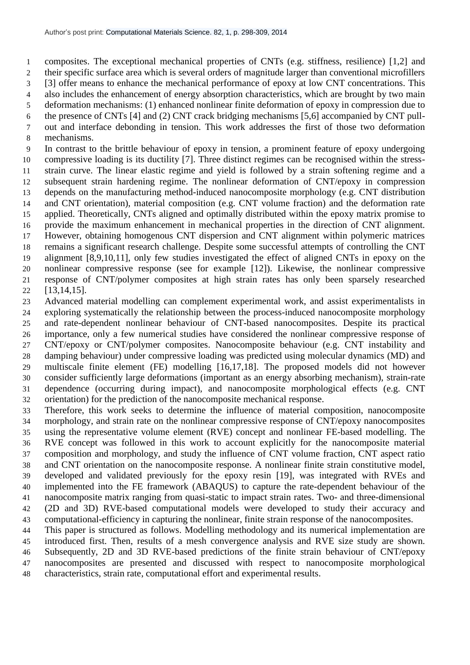composites. The exceptional mechanical properties of CNTs (e.g. stiffness, resilience) [1,2] and

 their specific surface area which is several orders of magnitude larger than conventional microfillers [3] offer means to enhance the mechanical performance of epoxy at low CNT concentrations. This

also includes the enhancement of energy absorption characteristics, which are brought by two main

deformation mechanisms: (1) enhanced nonlinear finite deformation of epoxy in compression due to

the presence of CNTs [4] and (2) CNT crack bridging mechanisms [5,6] accompanied by CNT pull-

out and interface debonding in tension. This work addresses the first of those two deformation

mechanisms.

 In contrast to the brittle behaviour of epoxy in tension, a prominent feature of epoxy undergoing compressive loading is its ductility [7]. Three distinct regimes can be recognised within the stress- strain curve. The linear elastic regime and yield is followed by a strain softening regime and a subsequent strain hardening regime. The nonlinear deformation of CNT/epoxy in compression depends on the manufacturing method-induced nanocomposite morphology (e.g. CNT distribution and CNT orientation), material composition (e.g. CNT volume fraction) and the deformation rate applied. Theoretically, CNTs aligned and optimally distributed within the epoxy matrix promise to provide the maximum enhancement in mechanical properties in the direction of CNT alignment. However, obtaining homogenous CNT dispersion and CNT alignment within polymeric matrices remains a significant research challenge. Despite some successful attempts of controlling the CNT alignment [8,9,10,11], only few studies investigated the effect of aligned CNTs in epoxy on the nonlinear compressive response (see for example [12]). Likewise, the nonlinear compressive response of CNT/polymer composites at high strain rates has only been sparsely researched [13,14,15].

 Advanced material modelling can complement experimental work, and assist experimentalists in exploring systematically the relationship between the process-induced nanocomposite morphology and rate-dependent nonlinear behaviour of CNT-based nanocomposites. Despite its practical importance, only a few numerical studies have considered the nonlinear compressive response of CNT/epoxy or CNT/polymer composites. Nanocomposite behaviour (e.g. CNT instability and damping behaviour) under compressive loading was predicted using molecular dynamics (MD) and multiscale finite element (FE) modelling [16,17,18]. The proposed models did not however consider sufficiently large deformations (important as an energy absorbing mechanism), strain-rate dependence (occurring during impact), and nanocomposite morphological effects (e.g. CNT orientation) for the prediction of the nanocomposite mechanical response.

 Therefore, this work seeks to determine the influence of material composition, nanocomposite morphology, and strain rate on the nonlinear compressive response of CNT/epoxy nanocomposites using the representative volume element (RVE) concept and nonlinear FE-based modelling. The RVE concept was followed in this work to account explicitly for the nanocomposite material composition and morphology, and study the influence of CNT volume fraction, CNT aspect ratio and CNT orientation on the nanocomposite response. A nonlinear finite strain constitutive model, developed and validated previously for the epoxy resin [19], was integrated with RVEs and implemented into the FE framework (ABAQUS) to capture the rate-dependent behaviour of the nanocomposite matrix ranging from quasi-static to impact strain rates. Two- and three-dimensional (2D and 3D) RVE-based computational models were developed to study their accuracy and computational-efficiency in capturing the nonlinear, finite strain response of the nanocomposites.

 This paper is structured as follows. Modelling methodology and its numerical implementation are introduced first. Then, results of a mesh convergence analysis and RVE size study are shown. Subsequently, 2D and 3D RVE-based predictions of the finite strain behaviour of CNT/epoxy nanocomposites are presented and discussed with respect to nanocomposite morphological characteristics, strain rate, computational effort and experimental results.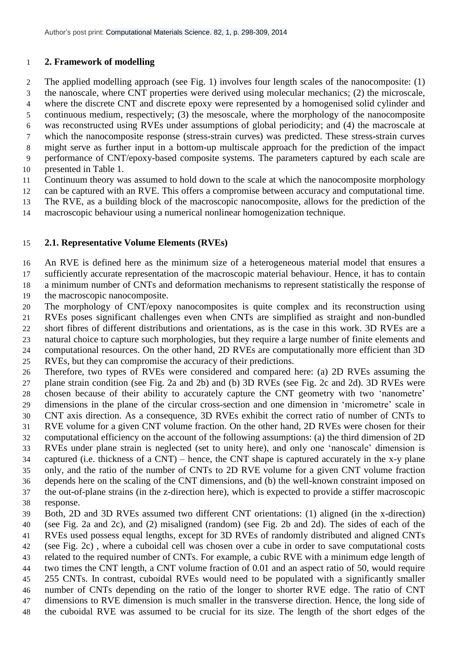# **2. Framework of modelling**

 The applied modelling approach (see Fig. 1) involves four length scales of the nanocomposite: (1) the nanoscale, where CNT properties were derived using molecular mechanics; (2) the microscale, where the discrete CNT and discrete epoxy were represented by a homogenised solid cylinder and continuous medium, respectively; (3) the mesoscale, where the morphology of the nanocomposite was reconstructed using RVEs under assumptions of global periodicity; and (4) the macroscale at which the nanocomposite response (stress-strain curves) was predicted. These stress-strain curves might serve as further input in a bottom-up multiscale approach for the prediction of the impact performance of CNT/epoxy-based composite systems. The parameters captured by each scale are presented in Table 1.

Continuum theory was assumed to hold down to the scale at which the nanocomposite morphology

can be captured with an RVE. This offers a compromise between accuracy and computational time.

The RVE, as a building block of the macroscopic nanocomposite, allows for the prediction of the

macroscopic behaviour using a numerical nonlinear homogenization technique.

# **2.1. Representative Volume Elements (RVEs)**

 An RVE is defined here as the minimum size of a heterogeneous material model that ensures a sufficiently accurate representation of the macroscopic material behaviour. Hence, it has to contain a minimum number of CNTs and deformation mechanisms to represent statistically the response of

the macroscopic nanocomposite.

 The morphology of CNT/epoxy nanocomposites is quite complex and its reconstruction using RVEs poses significant challenges even when CNTs are simplified as straight and non-bundled short fibres of different distributions and orientations, as is the case in this work. 3D RVEs are a natural choice to capture such morphologies, but they require a large number of finite elements and computational resources. On the other hand, 2D RVEs are computationally more efficient than 3D RVEs, but they can compromise the accuracy of their predictions.

 Therefore, two types of RVEs were considered and compared here: (a) 2D RVEs assuming the plane strain condition (see Fig. 2a and 2b) and (b) 3D RVEs (see Fig. 2c and 2d). 3D RVEs were chosen because of their ability to accurately capture the CNT geometry with two 'nanometre' dimensions in the plane of the circular cross-section and one dimension in 'micrometre' scale in CNT axis direction. As a consequence, 3D RVEs exhibit the correct ratio of number of CNTs to RVE volume for a given CNT volume fraction. On the other hand, 2D RVEs were chosen for their computational efficiency on the account of the following assumptions: (a) the third dimension of 2D RVEs under plane strain is neglected (set to unity here), and only one 'nanoscale' dimension is captured (i.e. thickness of a CNT) – hence, the CNT shape is captured accurately in the x-y plane only, and the ratio of the number of CNTs to 2D RVE volume for a given CNT volume fraction depends here on the scaling of the CNT dimensions, and (b) the well-known constraint imposed on

 the out-of-plane strains (in the z-direction here), which is expected to provide a stiffer macroscopic response.

 Both, 2D and 3D RVEs assumed two different CNT orientations: (1) aligned (in the x-direction) (see Fig. 2a and 2c), and (2) misaligned (random) (see Fig. 2b and 2d). The sides of each of the RVEs used possess equal lengths, except for 3D RVEs of randomly distributed and aligned CNTs

(see Fig. 2c) , where a cuboidal cell was chosen over a cube in order to save computational costs

related to the required number of CNTs. For example, a cubic RVE with a minimum edge length of

two times the CNT length, a CNT volume fraction of 0.01 and an aspect ratio of 50, would require

255 CNTs. In contrast, cuboidal RVEs would need to be populated with a significantly smaller

- number of CNTs depending on the ratio of the longer to shorter RVE edge. The ratio of CNT dimensions to RVE dimension is much smaller in the transverse direction. Hence, the long side of
- the cuboidal RVE was assumed to be crucial for its size. The length of the short edges of the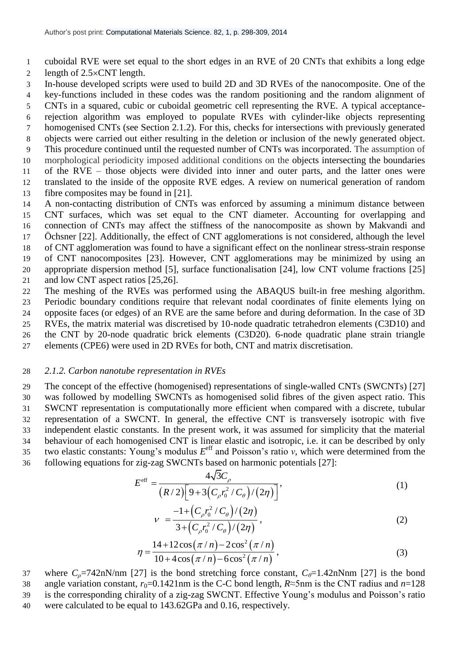1 cuboidal RVE were set equal to the short edges in an RVE of 20 CNTs that exhibits a long edge 2 length of  $2.5 \times CNT$  length.

3 In-house developed scripts were used to build 2D and 3D RVEs of the nanocomposite. One of the

 key-functions included in these codes was the random positioning and the random alignment of CNTs in a squared, cubic or cuboidal geometric cell representing the RVE. A typical acceptance- rejection algorithm was employed to populate RVEs with cylinder-like objects representing homogenised CNTs (see Section 2.1.2). For this, checks for intersections with previously generated objects were carried out either resulting in the deletion or inclusion of the newly generated object. This procedure continued until the requested number of CNTs was incorporated. The assumption of morphological periodicity imposed additional conditions on the objects intersecting the boundaries of the RVE – those objects were divided into inner and outer parts, and the latter ones were translated to the inside of the opposite RVE edges. A review on numerical generation of random fibre composites may be found in [21]. A non-contacting distribution of CNTs was enforced by assuming a minimum distance between

 CNT surfaces, which was set equal to the CNT diameter. Accounting for overlapping and connection of CNTs may affect the stiffness of the nanocomposite as shown by Makvandi and Öchsner [22]. Additionally, the effect of CNT agglomerations is not considered, although the level of CNT agglomeration was found to have a significant effect on the nonlinear stress-strain response of CNT nanocomposites [23]. However, CNT agglomerations may be minimized by using an appropriate dispersion method [5], surface functionalisation [24], low CNT volume fractions [25]

21 and low CNT aspect ratios [25,26].

22 The meshing of the RVEs was performed using the ABAQUS built-in free meshing algorithm. 23 Periodic boundary conditions require that relevant nodal coordinates of finite elements lying on 24 opposite faces (or edges) of an RVE are the same before and during deformation. In the case of 3D

25 RVEs, the matrix material was discretised by 10-node quadratic tetrahedron elements (C3D10) and

26 the CNT by 20-node quadratic brick elements (C3D20). 6-node quadratic plane strain triangle 27 elements (CPE6) were used in 2D RVEs for both, CNT and matrix discretisation.

#### 28 *2.1.2. Carbon nanotube representation in RVEs*

 The concept of the effective (homogenised) representations of single-walled CNTs (SWCNTs) [27] was followed by modelling SWCNTs as homogenised solid fibres of the given aspect ratio. This SWCNT representation is computationally more efficient when compared with a discrete, tubular representation of a SWCNT. In general, the effective CNT is transversely isotropic with five independent elastic constants. In the present work, it was assumed for simplicity that the material behaviour of each homogenised CNT is linear elastic and isotropic, i.e. it can be described by only two elastic constants: Young's modulus  $E^{\text{eff}}$  and Poisson's ratio *v*, which were determined from the

36 following equations for zig-zag SWCNTs based on harmonic potentials [27]:<br> $F^{\text{eff}} = \frac{4\sqrt{3}C_{\rho}}{2\pi\epsilon_0}$ 

$$
E^{\text{eff}} = \frac{4\sqrt{3}C_{\rho}}{(R/2)\left[9 + 3\left(C_{\rho}r_0^2/C_{\theta}\right)/(2\eta)\right]},
$$
\n(1)

$$
v = \frac{-1 + (C_{\rho}r_0^2/C_{\theta})/(2\eta)}{3 + (C_{\rho}r_0^2/C_{\theta})/(2\eta)},
$$
\n(2)

$$
\eta = \frac{14 + 12\cos(\pi/n) - 2\cos^2(\pi/n)}{10 + 4\cos(\pi/n) - 6\cos^2(\pi/n)},
$$
\n(3)

37 where  $C_{\rho}$ =742nN/nm [27] is the bond stretching force constant,  $C_{\theta}$ =1.42nNnm [27] is the bond angle variation constant, *r*0=0.1421nm is the C-C bond length, *R*≈5nm is the CNT radius and *n*=128 is the corresponding chirality of a zig-zag SWCNT. Effective Young's modulus and Poisson's ratio were calculated to be equal to 143.62GPa and 0.16, respectively.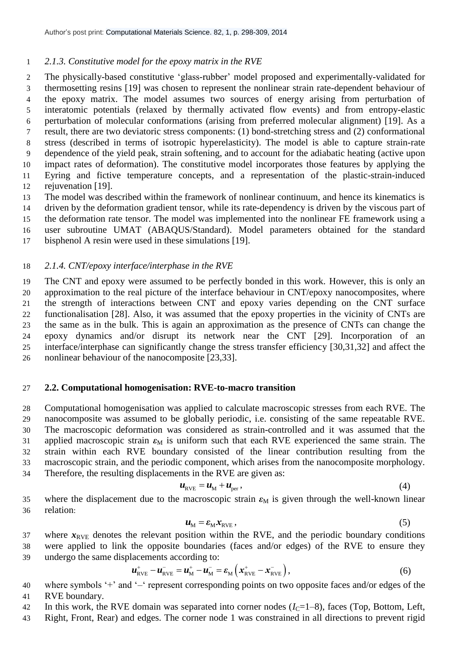## *2.1.3. Constitutive model for the epoxy matrix in the RVE*

 The physically-based constitutive 'glass-rubber' model proposed and experimentally-validated for thermosetting resins [19] was chosen to represent the nonlinear strain rate-dependent behaviour of the epoxy matrix. The model assumes two sources of energy arising from perturbation of interatomic potentials (relaxed by thermally activated flow events) and from entropy-elastic perturbation of molecular conformations (arising from preferred molecular alignment) [19]. As a result, there are two deviatoric stress components: (1) bond-stretching stress and (2) conformational stress (described in terms of isotropic hyperelasticity). The model is able to capture strain-rate dependence of the yield peak, strain softening, and to account for the adiabatic heating (active upon impact rates of deformation). The constitutive model incorporates those features by applying the Eyring and fictive temperature concepts, and a representation of the plastic-strain-induced rejuvenation [19].

 The model was described within the framework of nonlinear continuum, and hence its kinematics is driven by the deformation gradient tensor, while its rate-dependency is driven by the viscous part of the deformation rate tensor. The model was implemented into the nonlinear FE framework using a

user subroutine UMAT (ABAQUS/Standard). Model parameters obtained for the standard

bisphenol A resin were used in these simulations [19].

## *2.1.4. CNT/epoxy interface/interphase in the RVE*

 The CNT and epoxy were assumed to be perfectly bonded in this work. However, this is only an approximation to the real picture of the interface behaviour in CNT/epoxy nanocomposites, where the strength of interactions between CNT and epoxy varies depending on the CNT surface functionalisation [28]. Also, it was assumed that the epoxy properties in the vicinity of CNTs are the same as in the bulk. This is again an approximation as the presence of CNTs can change the epoxy dynamics and/or disrupt its network near the CNT [29]. Incorporation of an interface/interphase can significantly change the stress transfer efficiency [30,31,32] and affect the nonlinear behaviour of the nanocomposite [23,33].

## **2.2. Computational homogenisation: RVE-to-macro transition**

 Computational homogenisation was applied to calculate macroscopic stresses from each RVE. The nanocomposite was assumed to be globally periodic, i.e. consisting of the same repeatable RVE. The macroscopic deformation was considered as strain-controlled and it was assumed that the 31 applied macroscopic strain  $\varepsilon_M$  is uniform such that each RVE experienced the same strain. The strain within each RVE boundary consisted of the linear contribution resulting from the macroscopic strain, and the periodic component, which arises from the nanocomposite morphology. Therefore, the resulting displacements in the RVE are given as:

$$
u_{\text{RVE}} = u_{\text{M}} + u_{\text{per}}\,,\tag{4}
$$

35 where the displacement due to the macroscopic strain  $\varepsilon_M$  is given through the well-known linear relation:

$$
u_{\rm M} = \varepsilon_{\rm M} x_{\rm RVE},\tag{5}
$$

37 where  $x_{RVE}$  denotes the relevant position within the RVE, and the periodic boundary conditions were applied to link the opposite boundaries (faces and/or edges) of the RVE to ensure they

39 undergo the same displacements according to:  
\n
$$
u_{\text{RVE}}^{+} - u_{\text{RVE}}^{-} = u_{\text{M}}^{+} - u_{\text{M}}^{-} = \varepsilon_{\text{M}} \left( x_{\text{RVE}}^{+} - x_{\text{RVE}}^{-} \right),
$$
\n(6)

 where symbols '+' and '–' represent corresponding points on two opposite faces and/or edges of the RVE boundary.

- 42 In this work, the RVE domain was separated into corner nodes  $(I<sub>C</sub>=1-8)$ , faces (Top, Bottom, Left,
- Right, Front, Rear) and edges. The corner node 1 was constrained in all directions to prevent rigid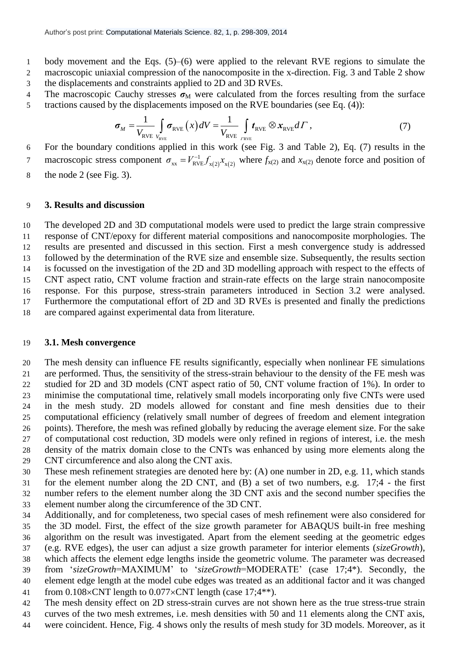- body movement and the Eqs. (5)–(6) were applied to the relevant RVE regions to simulate the macroscopic uniaxial compression of the nanocomposite in the x-direction. Fig. 3 and Table 2 show the displacements and constraints applied to 2D and 3D RVEs.
- 

4 The macroscopic Cauchy stresses 
$$
\sigma_M
$$
 were calculated from the forces resulting from the surface  
tractions caused by the displacements imposed on the RVE boundaries (see Eq. (4)): 
$$
\sigma_M = \frac{1}{V_{RVE}} \int_{r_{RVE}} \sigma_{RVE} (x) dV = \frac{1}{V_{RVE}} \int_{r_{RVE}} t_{RVE} \otimes x_{RVE} d\Gamma,
$$
 (7)

 For the boundary conditions applied in this work (see Fig. 3 and Table 2), Eq. (7) results in the macroscopic stress component  $\sigma_{xx} = V_{RVE}^{-1} f_{x(2)} x_{x(2)}$  $\sigma_{xx} = V_{RVE}^{-1} f_{x(2)} x_{x(2)}$  where  $f_{x(2)}$  and  $x_{x(2)}$  denote force and position of 

the node 2 (see Fig. 3).

#### **3. Results and discussion**

 The developed 2D and 3D computational models were used to predict the large strain compressive response of CNT/epoxy for different material compositions and nanocomposite morphologies. The results are presented and discussed in this section. First a mesh convergence study is addressed followed by the determination of the RVE size and ensemble size. Subsequently, the results section is focussed on the investigation of the 2D and 3D modelling approach with respect to the effects of CNT aspect ratio, CNT volume fraction and strain-rate effects on the large strain nanocomposite response. For this purpose, stress-strain parameters introduced in Section 3.2 were analysed. Furthermore the computational effort of 2D and 3D RVEs is presented and finally the predictions are compared against experimental data from literature.

#### **3.1. Mesh convergence**

 The mesh density can influence FE results significantly, especially when nonlinear FE simulations are performed. Thus, the sensitivity of the stress-strain behaviour to the density of the FE mesh was studied for 2D and 3D models (CNT aspect ratio of 50, CNT volume fraction of 1%). In order to minimise the computational time, relatively small models incorporating only five CNTs were used in the mesh study. 2D models allowed for constant and fine mesh densities due to their computational efficiency (relatively small number of degrees of freedom and element integration points). Therefore, the mesh was refined globally by reducing the average element size. For the sake of computational cost reduction, 3D models were only refined in regions of interest, i.e. the mesh density of the matrix domain close to the CNTs was enhanced by using more elements along the CNT circumference and also along the CNT axis.  $\sigma_w = \sqrt{\frac{1}{2} \epsilon_{\text{NN}} (A/dV)} = \sqrt{\frac{1}{2} \epsilon_{\text{NN}} (A/dV)} = \sqrt{\frac{1}{2} \epsilon_{\text{NN}} (B \cdot R_{\text{NN}} e dT)}$ . (7) Tombis in the meson of the results of meson only the results of meson only the results of meson of the results of meson of the re

- These mesh refinement strategies are denoted here by: (A) one number in 2D, e.g. 11, which stands for the element number along the 2D CNT, and (B) a set of two numbers, e.g. 17;4 - the first number refers to the element number along the 3D CNT axis and the second number specifies the element number along the circumference of the 3D CNT.
- Additionally, and for completeness, two special cases of mesh refinement were also considered for the 3D model. First, the effect of the size growth parameter for ABAQUS built-in free meshing algorithm on the result was investigated. Apart from the element seeding at the geometric edges (e.g. RVE edges), the user can adjust a size growth parameter for interior elements (*sizeGrowth*), which affects the element edge lengths inside the geometric volume. The parameter was decreased from '*sizeGrowth*=MAXIMUM' to '*sizeGrowth*=MODERATE' (case 17;4\*). Secondly, the element edge length at the model cube edges was treated as an additional factor and it was changed
- 41 from  $0.108 \times CNT$  length to  $0.077 \times CNT$  length (case 17;4\*\*).
- The mesh density effect on 2D stress-strain curves are not shown here as the true stress-true strain
- curves of the two mesh extremes, i.e. mesh densities with 50 and 11 elements along the CNT axis,
-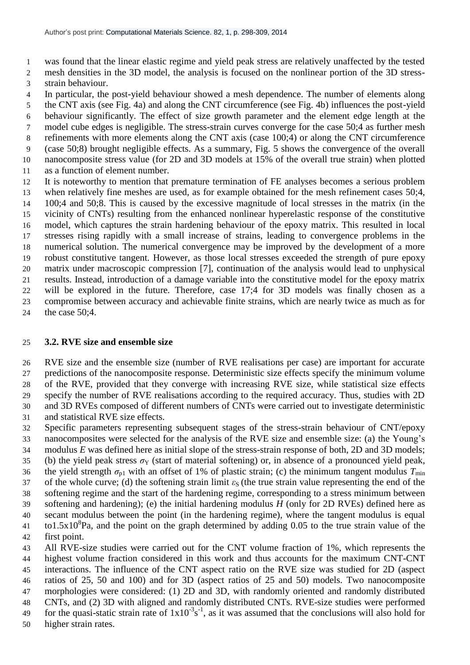was found that the linear elastic regime and yield peak stress are relatively unaffected by the tested mesh densities in the 3D model, the analysis is focused on the nonlinear portion of the 3D stress-strain behaviour.

 In particular, the post-yield behaviour showed a mesh dependence. The number of elements along the CNT axis (see Fig. 4a) and along the CNT circumference (see Fig. 4b) influences the post-yield behaviour significantly. The effect of size growth parameter and the element edge length at the model cube edges is negligible. The stress-strain curves converge for the case 50;4 as further mesh refinements with more elements along the CNT axis (case 100;4) or along the CNT circumference (case 50;8) brought negligible effects. As a summary, Fig. 5 shows the convergence of the overall nanocomposite stress value (for 2D and 3D models at 15% of the overall true strain) when plotted as a function of element number.

 It is noteworthy to mention that premature termination of FE analyses becomes a serious problem when relatively fine meshes are used, as for example obtained for the mesh refinement cases 50;4, 100;4 and 50;8. This is caused by the excessive magnitude of local stresses in the matrix (in the vicinity of CNTs) resulting from the enhanced nonlinear hyperelastic response of the constitutive model, which captures the strain hardening behaviour of the epoxy matrix. This resulted in local stresses rising rapidly with a small increase of strains, leading to convergence problems in the numerical solution. The numerical convergence may be improved by the development of a more robust constitutive tangent. However, as those local stresses exceeded the strength of pure epoxy matrix under macroscopic compression [7], continuation of the analysis would lead to unphysical results. Instead, introduction of a damage variable into the constitutive model for the epoxy matrix will be explored in the future. Therefore, case 17;4 for 3D models was finally chosen as a compromise between accuracy and achievable finite strains, which are nearly twice as much as for the case 50;4.

## **3.2. RVE size and ensemble size**

 RVE size and the ensemble size (number of RVE realisations per case) are important for accurate predictions of the nanocomposite response. Deterministic size effects specify the minimum volume of the RVE, provided that they converge with increasing RVE size, while statistical size effects specify the number of RVE realisations according to the required accuracy. Thus, studies with 2D and 3D RVEs composed of different numbers of CNTs were carried out to investigate deterministic and statistical RVE size effects.

 Specific parameters representing subsequent stages of the stress-strain behaviour of CNT/epoxy nanocomposites were selected for the analysis of the RVE size and ensemble size: (a) the Young's modulus *E* was defined here as initial slope of the stress-strain response of both, 2D and 3D models; 35 (b) the yield peak stress  $\sigma_Y$  (start of material softening) or, in absence of a pronounced yield peak, 36 the yield strength  $\sigma_{p1}$  with an offset of 1% of plastic strain; (c) the minimum tangent modulus  $T_{min}$ 37 of the whole curve; (d) the softening strain limit  $\varepsilon_S$  (the true strain value representing the end of the softening regime and the start of the hardening regime, corresponding to a stress minimum between softening and hardening); (e) the initial hardening modulus *H* (only for 2D RVEs) defined here as secant modulus between the point (in the hardening regime), where the tangent modulus is equal  $t_1$  to1.5x10<sup>8</sup>Pa, and the point on the graph determined by adding 0.05 to the true strain value of the first point.

 All RVE-size studies were carried out for the CNT volume fraction of 1%, which represents the highest volume fraction considered in this work and thus accounts for the maximum CNT-CNT interactions. The influence of the CNT aspect ratio on the RVE size was studied for 2D (aspect ratios of 25, 50 and 100) and for 3D (aspect ratios of 25 and 50) models. Two nanocomposite morphologies were considered: (1) 2D and 3D, with randomly oriented and randomly distributed CNTs, and (2) 3D with aligned and randomly distributed CNTs. RVE-size studies were performed 49 for the quasi-static strain rate of  $1x10^{-3}s^{-1}$ , as it was assumed that the conclusions will also hold for

higher strain rates.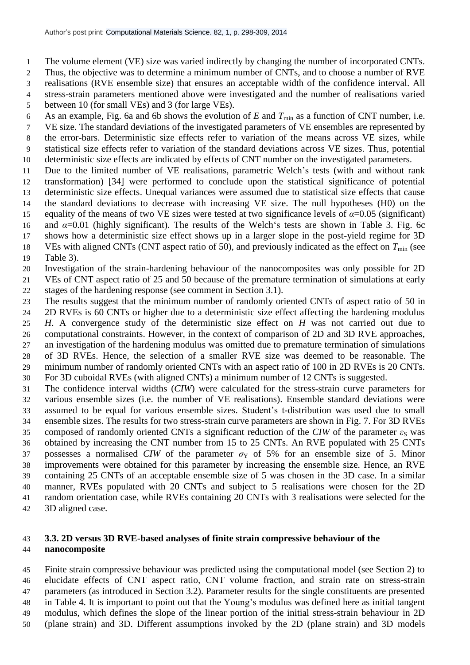- The volume element (VE) size was varied indirectly by changing the number of incorporated CNTs.
- Thus, the objective was to determine a minimum number of CNTs, and to choose a number of RVE
- realisations (RVE ensemble size) that ensures an acceptable width of the confidence interval. All
- stress-strain parameters mentioned above were investigated and the number of realisations varied
- between 10 (for small VEs) and 3 (for large VEs).
- 6 As an example, Fig. 6a and 6b shows the evolution of  $E$  and  $T_{\text{min}}$  as a function of CNT number, i.e.
- VE size. The standard deviations of the investigated parameters of VE ensembles are represented by the error-bars. Deterministic size effects refer to variation of the means across VE sizes, while statistical size effects refer to variation of the standard deviations across VE sizes. Thus, potential
- deterministic size effects are indicated by effects of CNT number on the investigated parameters.
- Due to the limited number of VE realisations, parametric Welch's tests (with and without rank transformation) [34] were performed to conclude upon the statistical significance of potential deterministic size effects. Unequal variances were assumed due to statistical size effects that cause the standard deviations to decrease with increasing VE size. The null hypotheses (H0) on the 15 equality of the means of two VE sizes were tested at two significance levels of  $\alpha$ =0.05 (significant) and *α*=0.01 (highly significant). The results of the Welch's tests are shown in Table 3. Fig. 6c shows how a deterministic size effect shows up in a larger slope in the post-yield regime for 3D
- 18 VEs with aligned CNTs (CNT aspect ratio of 50), and previously indicated as the effect on  $T_{\text{min}}$  (see
- Table 3).
- Investigation of the strain-hardening behaviour of the nanocomposites was only possible for 2D VEs of CNT aspect ratio of 25 and 50 because of the premature termination of simulations at early stages of the hardening response (see comment in Section 3.1).
- The results suggest that the minimum number of randomly oriented CNTs of aspect ratio of 50 in 2D RVEs is 60 CNTs or higher due to a deterministic size effect affecting the hardening modulus
- *H*. A convergence study of the deterministic size effect on *H* was not carried out due to computational constraints. However, in the context of comparison of 2D and 3D RVE approaches, an investigation of the hardening modulus was omitted due to premature termination of simulations of 3D RVEs. Hence, the selection of a smaller RVE size was deemed to be reasonable. The minimum number of randomly oriented CNTs with an aspect ratio of 100 in 2D RVEs is 20 CNTs. For 3D cuboidal RVEs (with aligned CNTs) a minimum number of 12 CNTs is suggested.
- The confidence interval widths (*CIW*) were calculated for the stress-strain curve parameters for various ensemble sizes (i.e. the number of VE realisations). Ensemble standard deviations were assumed to be equal for various ensemble sizes. Student's t-distribution was used due to small ensemble sizes. The results for two stress-strain curve parameters are shown in Fig. 7. For 3D RVEs 35 composed of randomly oriented CNTs a significant reduction of the *CIW* of the parameter  $\varepsilon_{\rm S}$  was obtained by increasing the CNT number from 15 to 25 CNTs. An RVE populated with 25 CNTs 37 possesses a normalised *CIW* of the parameter  $\sigma_Y$  of 5% for an ensemble size of 5. Minor improvements were obtained for this parameter by increasing the ensemble size. Hence, an RVE containing 25 CNTs of an acceptable ensemble size of 5 was chosen in the 3D case. In a similar manner, RVEs populated with 20 CNTs and subject to 5 realisations were chosen for the 2D random orientation case, while RVEs containing 20 CNTs with 3 realisations were selected for the 3D aligned case.

# **3.3. 2D versus 3D RVE-based analyses of finite strain compressive behaviour of the nanocomposite**

 Finite strain compressive behaviour was predicted using the computational model (see Section 2) to elucidate effects of CNT aspect ratio, CNT volume fraction, and strain rate on stress-strain parameters (as introduced in Section 3.2). Parameter results for the single constituents are presented in Table 4. It is important to point out that the Young's modulus was defined here as initial tangent modulus, which defines the slope of the linear portion of the initial stress-strain behaviour in 2D (plane strain) and 3D. Different assumptions invoked by the 2D (plane strain) and 3D models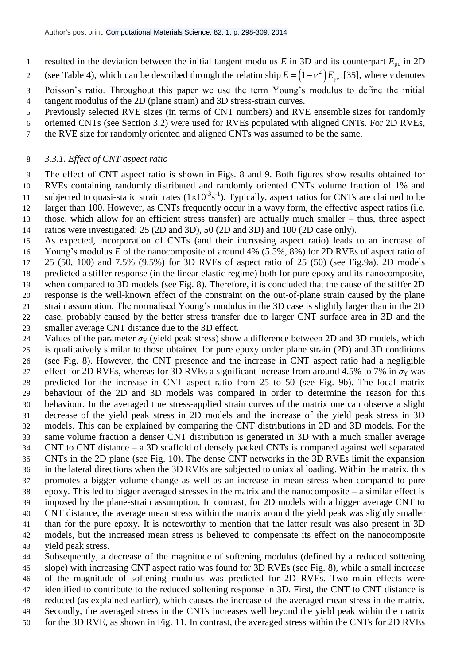- resulted in the deviation between the initial tangent modulus *E* in 3D and its counterpart *E*pe in 2D
- (see Table 4), which can be described through the relationship  $E = (1 v^2)$  $E = (1 - v^2) E_{\text{pe}}$  [35], where *v* denotes
- Poisson's ratio. Throughout this paper we use the term Young's modulus to define the initial tangent modulus of the 2D (plane strain) and 3D stress-strain curves.
- Previously selected RVE sizes (in terms of CNT numbers) and RVE ensemble sizes for randomly
- oriented CNTs (see Section 3.2) were used for RVEs populated with aligned CNTs. For 2D RVEs,
- the RVE size for randomly oriented and aligned CNTs was assumed to be the same.

## *3.3.1. Effect of CNT aspect ratio*

 The effect of CNT aspect ratio is shown in Figs. 8 and 9. Both figures show results obtained for RVEs containing randomly distributed and randomly oriented CNTs volume fraction of 1% and 11 subjected to quasi-static strain rates  $(1 \times 10^{-3} s^{-1})$ . Typically, aspect ratios for CNTs are claimed to be larger than 100. However, as CNTs frequently occur in a wavy form, the effective aspect ratios (i.e. those, which allow for an efficient stress transfer) are actually much smaller – thus, three aspect ratios were investigated: 25 (2D and 3D), 50 (2D and 3D) and 100 (2D case only).

 As expected, incorporation of CNTs (and their increasing aspect ratio) leads to an increase of Young's modulus *E* of the nanocomposite of around 4% (5.5%, 8%) for 2D RVEs of aspect ratio of 25 (50, 100) and 7.5% (9.5%) for 3D RVEs of aspect ratio of 25 (50) (see Fig.9a). 2D models predicted a stiffer response (in the linear elastic regime) both for pure epoxy and its nanocomposite, when compared to 3D models (see Fig. 8). Therefore, it is concluded that the cause of the stiffer 2D response is the well-known effect of the constraint on the out-of-plane strain caused by the plane strain assumption. The normalised Young's modulus in the 3D case is slightly larger than in the 2D case, probably caused by the better stress transfer due to larger CNT surface area in 3D and the smaller average CNT distance due to the 3D effect.

24 Values of the parameter  $\sigma_Y$  (yield peak stress) show a difference between 2D and 3D models, which is qualitatively similar to those obtained for pure epoxy under plane strain (2D) and 3D conditions (see Fig. 8). However, the CNT presence and the increase in CNT aspect ratio had a negligible 27 effect for 2D RVEs, whereas for 3D RVEs a significant increase from around 4.5% to 7% in  $\sigma_Y$  was predicted for the increase in CNT aspect ratio from 25 to 50 (see Fig. 9b). The local matrix behaviour of the 2D and 3D models was compared in order to determine the reason for this behaviour. In the averaged true stress-applied strain curves of the matrix one can observe a slight decrease of the yield peak stress in 2D models and the increase of the yield peak stress in 3D models. This can be explained by comparing the CNT distributions in 2D and 3D models. For the same volume fraction a denser CNT distribution is generated in 3D with a much smaller average CNT to CNT distance – a 3D scaffold of densely packed CNTs is compared against well separated CNTs in the 2D plane (see Fig. 10). The dense CNT networks in the 3D RVEs limit the expansion in the lateral directions when the 3D RVEs are subjected to uniaxial loading. Within the matrix, this promotes a bigger volume change as well as an increase in mean stress when compared to pure epoxy. This led to bigger averaged stresses in the matrix and the nanocomposite – a similar effect is imposed by the plane-strain assumption. In contrast, for 2D models with a bigger average CNT to CNT distance, the average mean stress within the matrix around the yield peak was slightly smaller than for the pure epoxy. It is noteworthy to mention that the latter result was also present in 3D models, but the increased mean stress is believed to compensate its effect on the nanocomposite yield peak stress.

 Subsequently, a decrease of the magnitude of softening modulus (defined by a reduced softening slope) with increasing CNT aspect ratio was found for 3D RVEs (see Fig. 8), while a small increase of the magnitude of softening modulus was predicted for 2D RVEs. Two main effects were identified to contribute to the reduced softening response in 3D. First, the CNT to CNT distance is reduced (as explained earlier), which causes the increase of the averaged mean stress in the matrix. Secondly, the averaged stress in the CNTs increases well beyond the yield peak within the matrix for the 3D RVE, as shown in Fig. 11. In contrast, the averaged stress within the CNTs for 2D RVEs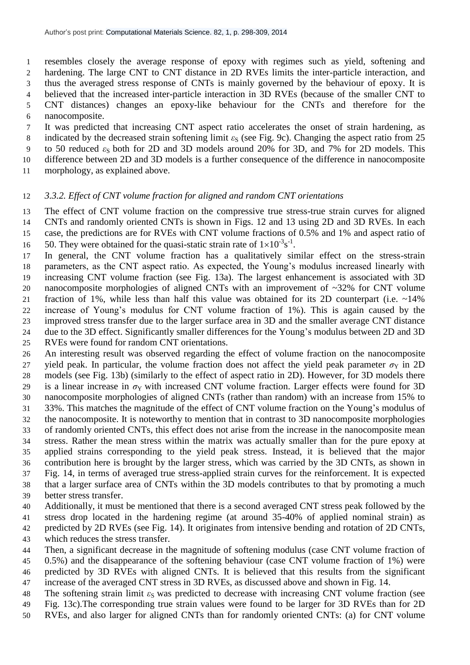resembles closely the average response of epoxy with regimes such as yield, softening and hardening. The large CNT to CNT distance in 2D RVEs limits the inter-particle interaction, and thus the averaged stress response of CNTs is mainly governed by the behaviour of epoxy. It is believed that the increased inter-particle interaction in 3D RVEs (because of the smaller CNT to CNT distances) changes an epoxy-like behaviour for the CNTs and therefore for the nanocomposite.

 It was predicted that increasing CNT aspect ratio accelerates the onset of strain hardening, as 8 indicated by the decreased strain softening limit  $\varepsilon_S$  (see Fig. 9c). Changing the aspect ratio from 25 9 to 50 reduced  $\varepsilon_{\rm S}$  both for 2D and 3D models around 20% for 3D, and 7% for 2D models. This difference between 2D and 3D models is a further consequence of the difference in nanocomposite morphology, as explained above.

#### *3.3.2. Effect of CNT volume fraction for aligned and random CNT orientations*

 The effect of CNT volume fraction on the compressive true stress-true strain curves for aligned CNTs and randomly oriented CNTs is shown in Figs. 12 and 13 using 2D and 3D RVEs. In each case, the predictions are for RVEs with CNT volume fractions of 0.5% and 1% and aspect ratio of

16 50. They were obtained for the quasi-static strain rate of  $1 \times 10^{-3}$  s<sup>-1</sup>.

 In general, the CNT volume fraction has a qualitatively similar effect on the stress-strain parameters, as the CNT aspect ratio. As expected, the Young's modulus increased linearly with increasing CNT volume fraction (see Fig. 13a). The largest enhancement is associated with 3D nanocomposite morphologies of aligned CNTs with an improvement of ~32% for CNT volume fraction of 1%, while less than half this value was obtained for its 2D counterpart (i.e. ~14% increase of Young's modulus for CNT volume fraction of 1%). This is again caused by the improved stress transfer due to the larger surface area in 3D and the smaller average CNT distance due to the 3D effect. Significantly smaller differences for the Young's modulus between 2D and 3D

RVEs were found for random CNT orientations.

 An interesting result was observed regarding the effect of volume fraction on the nanocomposite 27 yield peak. In particular, the volume fraction does not affect the yield peak parameter  $\sigma_Y$  in 2D models (see Fig. 13b) (similarly to the effect of aspect ratio in 2D). However, for 3D models there 29 is a linear increase in  $\sigma_Y$  with increased CNT volume fraction. Larger effects were found for 3D nanocomposite morphologies of aligned CNTs (rather than random) with an increase from 15% to 33%. This matches the magnitude of the effect of CNT volume fraction on the Young's modulus of the nanocomposite. It is noteworthy to mention that in contrast to 3D nanocomposite morphologies of randomly oriented CNTs, this effect does not arise from the increase in the nanocomposite mean stress. Rather the mean stress within the matrix was actually smaller than for the pure epoxy at applied strains corresponding to the yield peak stress. Instead, it is believed that the major contribution here is brought by the larger stress, which was carried by the 3D CNTs, as shown in Fig. 14, in terms of averaged true stress-applied strain curves for the reinforcement. It is expected that a larger surface area of CNTs within the 3D models contributes to that by promoting a much

better stress transfer.

 Additionally, it must be mentioned that there is a second averaged CNT stress peak followed by the stress drop located in the hardening regime (at around 35-40% of applied nominal strain) as predicted by 2D RVEs (see Fig. 14). It originates from intensive bending and rotation of 2D CNTs, which reduces the stress transfer.

- Then, a significant decrease in the magnitude of softening modulus (case CNT volume fraction of
- 0.5%) and the disappearance of the softening behaviour (case CNT volume fraction of 1%) were predicted by 3D RVEs with aligned CNTs. It is believed that this results from the significant increase of the averaged CNT stress in 3D RVEs, as discussed above and shown in Fig. 14.
- 48 The softening strain limit *ε*<sub>S</sub> was predicted to decrease with increasing CNT volume fraction (see
- Fig. 13c).The corresponding true strain values were found to be larger for 3D RVEs than for 2D
- RVEs, and also larger for aligned CNTs than for randomly oriented CNTs: (a) for CNT volume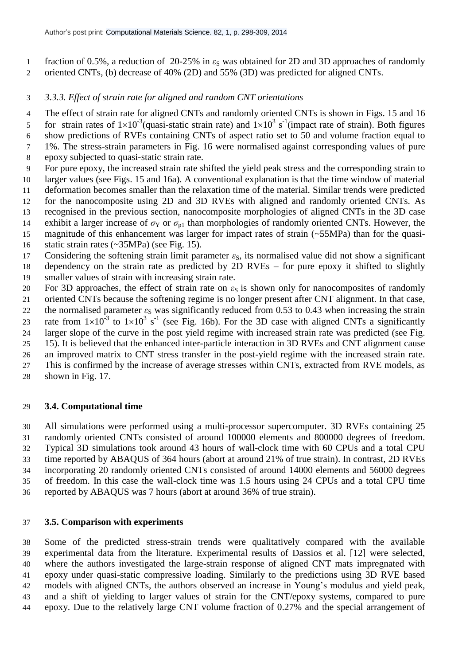- 1 fraction of 0.5%, a reduction of 20-25% in  $ε<sub>S</sub>$  was obtained for 2D and 3D approaches of randomly oriented CNTs, (b) decrease of 40% (2D) and 55% (3D) was predicted for aligned CNTs.
- *3.3.3. Effect of strain rate for aligned and random CNT orientations*
- The effect of strain rate for aligned CNTs and randomly oriented CNTs is shown in Figs. 15 and 16 5 for strain rates of  $1 \times 10^{-3}$  (quasi-static strain rate) and  $1 \times 10^{3}$  s<sup>-1</sup> (impact rate of strain). Both figures show predictions of RVEs containing CNTs of aspect ratio set to 50 and volume fraction equal to 1%. The stress-strain parameters in Fig. 16 were normalised against corresponding values of pure
- epoxy subjected to quasi-static strain rate.
- For pure epoxy, the increased strain rate shifted the yield peak stress and the corresponding strain to larger values (see Figs. 15 and 16a). A conventional explanation is that the time window of material deformation becomes smaller than the relaxation time of the material. Similar trends were predicted for the nanocomposite using 2D and 3D RVEs with aligned and randomly oriented CNTs. As recognised in the previous section, nanocomposite morphologies of aligned CNTs in the 3D case
- 14 exhibit a larger increase of  $\sigma_Y$  or  $\sigma_{p1}$  than morphologies of randomly oriented CNTs. However, the
- magnitude of this enhancement was larger for impact rates of strain (~55MPa) than for the quasi-
- static strain rates (~35MPa) (see Fig. 15).
- 17 Considering the softening strain limit parameter  $\varepsilon_{\rm S}$ , its normalised value did not show a significant dependency on the strain rate as predicted by 2D RVEs – for pure epoxy it shifted to slightly smaller values of strain with increasing strain rate.
- 20 For 3D approaches, the effect of strain rate on  $\varepsilon_S$  is shown only for nanocomposites of randomly
- oriented CNTs because the softening regime is no longer present after CNT alignment. In that case,
- 22 the normalised parameter  $\varepsilon_{\rm S}$  was significantly reduced from 0.53 to 0.43 when increasing the strain
- 23 rate from  $1\times10^{-3}$  to  $1\times10^{3}$  s<sup>-1</sup> (see Fig. 16b). For the 3D case with aligned CNTs a significantly
- larger slope of the curve in the post yield regime with increased strain rate was predicted (see Fig.
- 15). It is believed that the enhanced inter-particle interaction in 3D RVEs and CNT alignment cause
- an improved matrix to CNT stress transfer in the post-yield regime with the increased strain rate. This is confirmed by the increase of average stresses within CNTs, extracted from RVE models, as
- shown in Fig. 17.

# **3.4. Computational time**

 All simulations were performed using a multi-processor supercomputer. 3D RVEs containing 25 randomly oriented CNTs consisted of around 100000 elements and 800000 degrees of freedom. Typical 3D simulations took around 43 hours of wall-clock time with 60 CPUs and a total CPU time reported by ABAQUS of 364 hours (abort at around 21% of true strain). In contrast, 2D RVEs incorporating 20 randomly oriented CNTs consisted of around 14000 elements and 56000 degrees of freedom. In this case the wall-clock time was 1.5 hours using 24 CPUs and a total CPU time reported by ABAQUS was 7 hours (abort at around 36% of true strain).

# **3.5. Comparison with experiments**

 Some of the predicted stress-strain trends were qualitatively compared with the available experimental data from the literature. Experimental results of Dassios et al. [12] were selected, where the authors investigated the large-strain response of aligned CNT mats impregnated with epoxy under quasi-static compressive loading. Similarly to the predictions using 3D RVE based models with aligned CNTs, the authors observed an increase in Young's modulus and yield peak, and a shift of yielding to larger values of strain for the CNT/epoxy systems, compared to pure epoxy. Due to the relatively large CNT volume fraction of 0.27% and the special arrangement of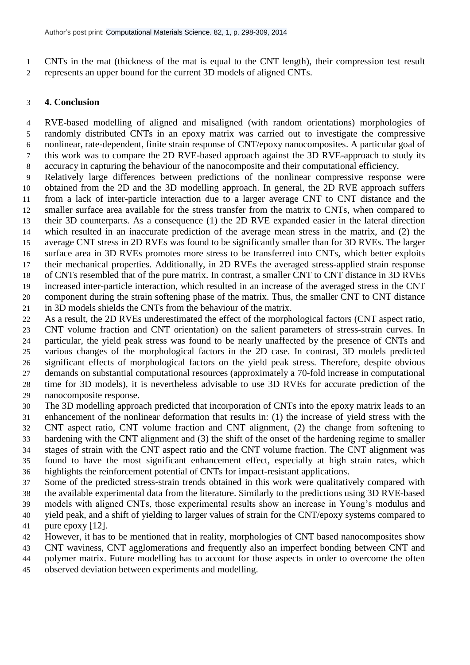CNTs in the mat (thickness of the mat is equal to the CNT length), their compression test result represents an upper bound for the current 3D models of aligned CNTs.

## **4. Conclusion**

 RVE-based modelling of aligned and misaligned (with random orientations) morphologies of randomly distributed CNTs in an epoxy matrix was carried out to investigate the compressive nonlinear, rate-dependent, finite strain response of CNT/epoxy nanocomposites. A particular goal of this work was to compare the 2D RVE-based approach against the 3D RVE-approach to study its accuracy in capturing the behaviour of the nanocomposite and their computational efficiency.

 Relatively large differences between predictions of the nonlinear compressive response were obtained from the 2D and the 3D modelling approach. In general, the 2D RVE approach suffers from a lack of inter-particle interaction due to a larger average CNT to CNT distance and the smaller surface area available for the stress transfer from the matrix to CNTs, when compared to their 3D counterparts. As a consequence (1) the 2D RVE expanded easier in the lateral direction which resulted in an inaccurate prediction of the average mean stress in the matrix, and (2) the average CNT stress in 2D RVEs was found to be significantly smaller than for 3D RVEs. The larger surface area in 3D RVEs promotes more stress to be transferred into CNTs, which better exploits their mechanical properties. Additionally, in 2D RVEs the averaged stress-applied strain response of CNTs resembled that of the pure matrix. In contrast, a smaller CNT to CNT distance in 3D RVEs increased inter-particle interaction, which resulted in an increase of the averaged stress in the CNT component during the strain softening phase of the matrix. Thus, the smaller CNT to CNT distance

in 3D models shields the CNTs from the behaviour of the matrix.

 As a result, the 2D RVEs underestimated the effect of the morphological factors (CNT aspect ratio, CNT volume fraction and CNT orientation) on the salient parameters of stress-strain curves. In particular, the yield peak stress was found to be nearly unaffected by the presence of CNTs and various changes of the morphological factors in the 2D case. In contrast, 3D models predicted significant effects of morphological factors on the yield peak stress. Therefore, despite obvious demands on substantial computational resources (approximately a 70-fold increase in computational time for 3D models), it is nevertheless advisable to use 3D RVEs for accurate prediction of the nanocomposite response.

 The 3D modelling approach predicted that incorporation of CNTs into the epoxy matrix leads to an enhancement of the nonlinear deformation that results in: (1) the increase of yield stress with the CNT aspect ratio, CNT volume fraction and CNT alignment, (2) the change from softening to hardening with the CNT alignment and (3) the shift of the onset of the hardening regime to smaller stages of strain with the CNT aspect ratio and the CNT volume fraction. The CNT alignment was found to have the most significant enhancement effect, especially at high strain rates, which highlights the reinforcement potential of CNTs for impact-resistant applications.

 Some of the predicted stress-strain trends obtained in this work were qualitatively compared with the available experimental data from the literature. Similarly to the predictions using 3D RVE-based models with aligned CNTs, those experimental results show an increase in Young's modulus and yield peak, and a shift of yielding to larger values of strain for the CNT/epoxy systems compared to

pure epoxy [12].

However, it has to be mentioned that in reality, morphologies of CNT based nanocomposites show

CNT waviness, CNT agglomerations and frequently also an imperfect bonding between CNT and

polymer matrix. Future modelling has to account for those aspects in order to overcome the often

observed deviation between experiments and modelling.